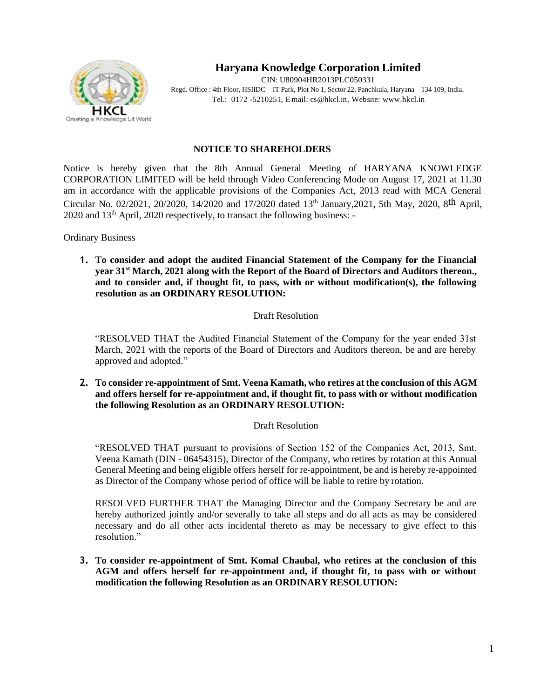

# **Haryana Knowledge Corporation Limited**

CIN: U80904HR2013PLC050331 Regd. Office : 4th Floor, HSIIDC – IT Park, Plot No 1, Sector 22, Panchkula, Haryana – 134 109, India. Tel.: 0172 -5210251, E-mail: [cs@hkcl.in,](mailto:cs@hkcl.in) Website: [www.hkcl.in](http://www.hkcl.in/)

#### **NOTICE TO SHAREHOLDERS**

Notice is hereby given that the 8th Annual General Meeting of HARYANA KNOWLEDGE CORPORATION LIMITED will be held through Video Conferencing Mode on August 17, 2021 at 11.30 am in accordance with the applicable provisions of the Companies Act, 2013 read with MCA General Circular No. 02/2021, 20/2020, 14/2020 and 17/2020 dated 13th January,2021, 5th May, 2020, 8th April, 2020 and 13th April, 2020 respectively, to transact the following business: -

Ordinary Business

**1. To consider and adopt the audited Financial Statement of the Company for the Financial year 31st March, 2021 along with the Report of the Board of Directors and Auditors thereon., and to consider and, if thought fit, to pass, with or without modification(s), the following resolution as an ORDINARY RESOLUTION:**

## Draft Resolution

"RESOLVED THAT the Audited Financial Statement of the Company for the year ended 31st March, 2021 with the reports of the Board of Directors and Auditors thereon, be and are hereby approved and adopted."

**2. To consider re-appointment of Smt. Veena Kamath, who retires at the conclusion of this AGM and offers herself for re-appointment and, if thought fit, to pass with or without modification the following Resolution as an ORDINARY RESOLUTION:**

## Draft Resolution

"RESOLVED THAT pursuant to provisions of Section 152 of the Companies Act, 2013, Smt. Veena Kamath (DIN - 06454315), Director of the Company, who retires by rotation at this Annual General Meeting and being eligible offers herself for re-appointment, be and is hereby re-appointed as Director of the Company whose period of office will be liable to retire by rotation.

RESOLVED FURTHER THAT the Managing Director and the Company Secretary be and are hereby authorized jointly and/or severally to take all steps and do all acts as may be considered necessary and do all other acts incidental thereto as may be necessary to give effect to this resolution."

**3. To consider re-appointment of Smt. Komal Chaubal, who retires at the conclusion of this AGM and offers herself for re-appointment and, if thought fit, to pass with or without modification the following Resolution as an ORDINARY RESOLUTION:**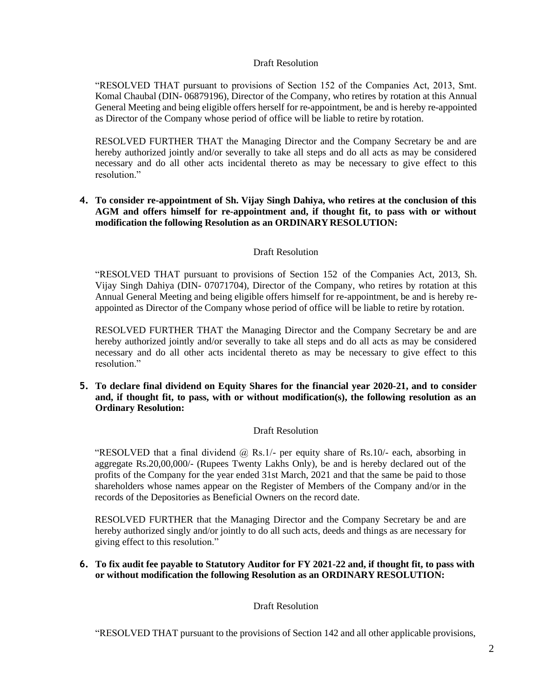## Draft Resolution

"RESOLVED THAT pursuant to provisions of Section 152 of the Companies Act, 2013, Smt. Komal Chaubal (DIN- 06879196), Director of the Company, who retires by rotation at this Annual General Meeting and being eligible offers herself for re-appointment, be and is hereby re-appointed as Director of the Company whose period of office will be liable to retire by rotation.

RESOLVED FURTHER THAT the Managing Director and the Company Secretary be and are hereby authorized jointly and/or severally to take all steps and do all acts as may be considered necessary and do all other acts incidental thereto as may be necessary to give effect to this resolution."

### **4. To consider re-appointment of Sh. Vijay Singh Dahiya, who retires at the conclusion of this AGM and offers himself for re-appointment and, if thought fit, to pass with or without modification the following Resolution as an ORDINARY RESOLUTION:**

## Draft Resolution

"RESOLVED THAT pursuant to provisions of Section 152 of the Companies Act, 2013, Sh. Vijay Singh Dahiya (DIN- 07071704), Director of the Company, who retires by rotation at this Annual General Meeting and being eligible offers himself for re-appointment, be and is hereby reappointed as Director of the Company whose period of office will be liable to retire by rotation.

RESOLVED FURTHER THAT the Managing Director and the Company Secretary be and are hereby authorized jointly and/or severally to take all steps and do all acts as may be considered necessary and do all other acts incidental thereto as may be necessary to give effect to this resolution."

**5. To declare final dividend on Equity Shares for the financial year 2020-21, and to consider and, if thought fit, to pass, with or without modification(s), the following resolution as an Ordinary Resolution:**

#### Draft Resolution

"RESOLVED that a final dividend  $\omega$  Rs.1/- per equity share of Rs.10/- each, absorbing in aggregate Rs.20,00,000/- (Rupees Twenty Lakhs Only), be and is hereby declared out of the profits of the Company for the year ended 31st March, 2021 and that the same be paid to those shareholders whose names appear on the Register of Members of the Company and/or in the records of the Depositories as Beneficial Owners on the record date.

RESOLVED FURTHER that the Managing Director and the Company Secretary be and are hereby authorized singly and/or jointly to do all such acts, deeds and things as are necessary for giving effect to this resolution."

#### **6. To fix audit fee payable to Statutory Auditor for FY 2021-22 and, if thought fit, to pass with or without modification the following Resolution as an ORDINARY RESOLUTION:**

Draft Resolution

"RESOLVED THAT pursuant to the provisions of Section 142 and all other applicable provisions,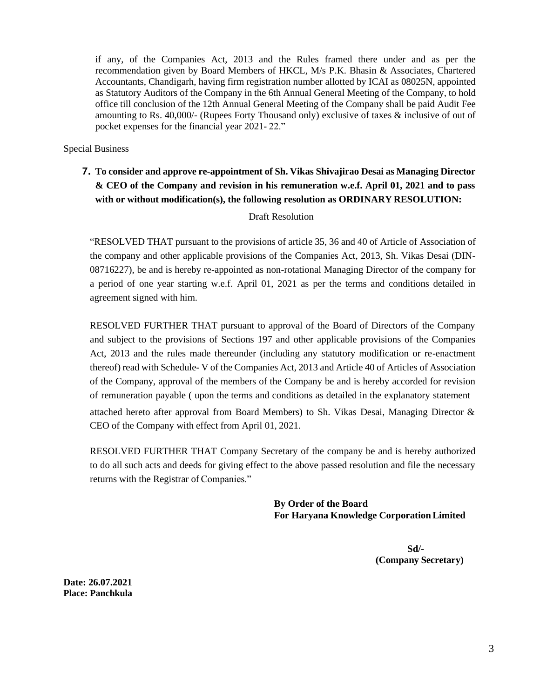if any, of the Companies Act, 2013 and the Rules framed there under and as per the recommendation given by Board Members of HKCL, M/s P.K. Bhasin & Associates, Chartered Accountants, Chandigarh, having firm registration number allotted by ICAI as 08025N, appointed as Statutory Auditors of the Company in the 6th Annual General Meeting of the Company, to hold office till conclusion of the 12th Annual General Meeting of the Company shall be paid Audit Fee amounting to Rs. 40,000/- (Rupees Forty Thousand only) exclusive of taxes  $\&$  inclusive of out of pocket expenses for the financial year 2021- 22."

Special Business

**7. To consider and approve re-appointment of Sh. Vikas Shivajirao Desai as Managing Director & CEO of the Company and revision in his remuneration w.e.f. April 01, 2021 and to pass with or without modification(s), the following resolution as ORDINARY RESOLUTION:**

#### Draft Resolution

"RESOLVED THAT pursuant to the provisions of article 35, 36 and 40 of Article of Association of the company and other applicable provisions of the Companies Act, 2013, Sh. Vikas Desai (DIN-08716227), be and is hereby re-appointed as non-rotational Managing Director of the company for a period of one year starting w.e.f. April 01, 2021 as per the terms and conditions detailed in agreement signed with him.

RESOLVED FURTHER THAT pursuant to approval of the Board of Directors of the Company and subject to the provisions of Sections 197 and other applicable provisions of the Companies Act, 2013 and the rules made thereunder (including any statutory modification or re-enactment thereof) read with Schedule- V of the Companies Act, 2013 and Article 40 of Articles of Association of the Company, approval of the members of the Company be and is hereby accorded for revision of remuneration payable ( upon the terms and conditions as detailed in the explanatory statement attached hereto after approval from Board Members) to Sh. Vikas Desai, Managing Director & CEO of the Company with effect from April 01, 2021.

RESOLVED FURTHER THAT Company Secretary of the company be and is hereby authorized to do all such acts and deeds for giving effect to the above passed resolution and file the necessary returns with the Registrar of Companies."

> **By Order of the Board For Haryana Knowledge CorporationLimited**

> > **Sd/- (Company Secretary)**

**Date: 26.07.2021 Place: Panchkula**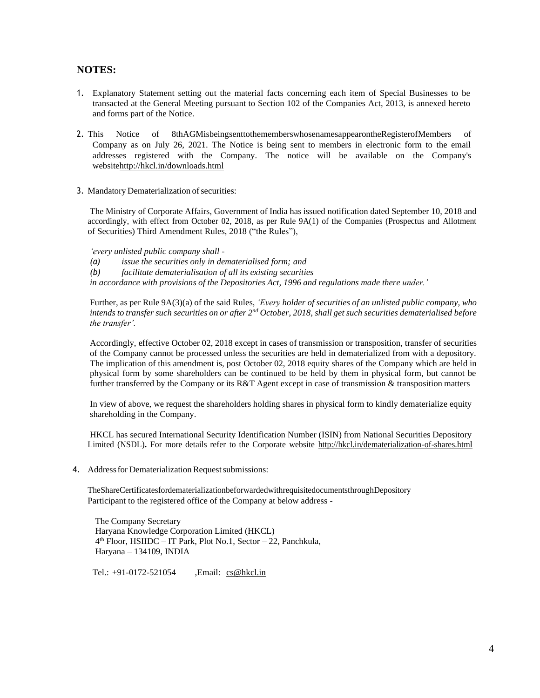## **NOTES:**

- 1. Explanatory Statement setting out the material facts concerning each item of Special Businesses to be transacted at the General Meeting pursuant to Section 102 of the Companies Act, 2013, is annexed hereto and forms part of the Notice.
- 2. This Notice of 8thAGMisbeingsenttothememberswhosenamesappearontheRegisterofMembers of Company as on July 26, 2021. The Notice is being sent to members in electronic form to the email addresses registered with the Company. The notice will be available on the Company's websit[ehttp://hkcl.in/downloads.html](http://hkcl.in/downloads.html)
- 3. Mandatory Dematerialization of securities:

The Ministry of Corporate Affairs, Government of India has issued notification dated September 10, 2018 and accordingly, with effect from October 02, 2018, as per Rule 9A(1) of the Companies (Prospectus and Allotment of Securities) Third Amendment Rules, 2018 ("the Rules"),

*'every unlisted public company shall -*

*(a) issue the securities only in dematerialised form; and*

*(b) facilitate dematerialisation of all its existing securities*

*in accordance with provisions of the Depositories Act, 1996 and regulations made there under.'*

Further, as per Rule 9A(3)(a) of the said Rules, *'Every holder of securities of an unlisted public company, who* intends to transfer such securities on or after 2<sup>nd</sup> October, 2018, shall get such securities dematerialised before *the transfer'.*

Accordingly, effective October 02, 2018 except in cases of transmission or transposition, transfer of securities of the Company cannot be processed unless the securities are held in dematerialized from with a depository. The implication of this amendment is, post October 02, 2018 equity shares of the Company which are held in physical form by some shareholders can be continued to be held by them in physical form, but cannot be further transferred by the Company or its R&T Agent except in case of transmission & transposition matters

In view of above, we request the shareholders holding shares in physical form to kindly dematerialize equity shareholding in the Company.

HKCL has secured International Security Identification Number (ISIN) from National Securities Depository Limited (NSDL)**.** For more details refer to the Corporate website <http://hkcl.in/dematerialization-of-shares.html>

4. Address for Dematerialization Request submissions:

TheShareCertificatesfordematerializationbeforwardedwithrequisitedocumentsthroughDepository Participant to the registered office of the Company at below address ‐

The Company Secretary Haryana Knowledge Corporation Limited (HKCL) 4 th Floor, HSIIDC – IT Park, Plot No.1, Sector – 22, Panchkula, Haryana – 134109, INDIA

Tel.: +91-0172-521054 ,Email: [cs@hkcl.in](mailto:cs@hkcl.in)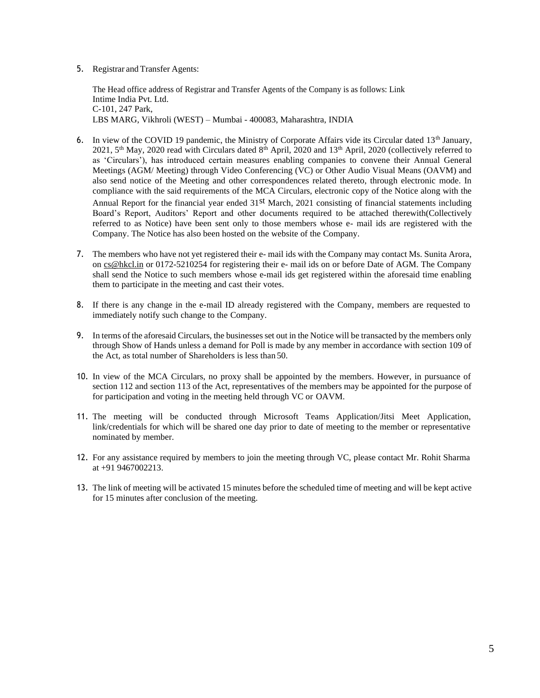5. Registrar and Transfer Agents:

The Head office address of Registrar and Transfer Agents of the Company is as follows: Link Intime India Pvt. Ltd. C-101, 247 Park, LBS MARG, Vikhroli (WEST) – Mumbai - 400083, Maharashtra, INDIA

- 6. In view of the COVID 19 pandemic, the Ministry of Corporate Affairs vide its Circular dated 13<sup>th</sup> January, 2021, 5th May, 2020 read with Circulars dated 8th April, 2020 and 13th April, 2020 (collectively referred to as 'Circulars'), has introduced certain measures enabling companies to convene their Annual General Meetings (AGM/ Meeting) through Video Conferencing (VC) or Other Audio Visual Means (OAVM) and also send notice of the Meeting and other correspondences related thereto, through electronic mode. In compliance with the said requirements of the MCA Circulars, electronic copy of the Notice along with the Annual Report for the financial year ended 31<sup>st</sup> March, 2021 consisting of financial statements including Board's Report, Auditors' Report and other documents required to be attached therewith(Collectively referred to as Notice) have been sent only to those members whose e- mail ids are registered with the Company. The Notice has also been hosted on the website of the Company.
- 7. The members who have not yet registered their e- mail ids with the Company may contact Ms. Sunita Arora, on [cs@hkcl.in](mailto:cs@hkcl.in) or 0172-5210254 for registering their e- mail ids on or before Date of AGM. The Company shall send the Notice to such members whose e-mail ids get registered within the aforesaid time enabling them to participate in the meeting and cast their votes.
- 8. If there is any change in the e-mail ID already registered with the Company, members are requested to immediately notify such change to the Company.
- 9. In terms of the aforesaid Circulars, the businessesset out in the Notice will be transacted by the members only through Show of Hands unless a demand for Poll is made by any member in accordance with section 109 of the Act, as total number of Shareholders is less than 50.
- 10. In view of the MCA Circulars, no proxy shall be appointed by the members. However, in pursuance of section 112 and section 113 of the Act, representatives of the members may be appointed for the purpose of for participation and voting in the meeting held through VC or OAVM.
- 11. The meeting will be conducted through Microsoft Teams Application/Jitsi Meet Application, link/credentials for which will be shared one day prior to date of meeting to the member or representative nominated by member.
- 12. For any assistance required by members to join the meeting through VC, please contact Mr. Rohit Sharma at +91 9467002213.
- 13. The link of meeting will be activated 15 minutes before the scheduled time of meeting and will be kept active for 15 minutes after conclusion of the meeting.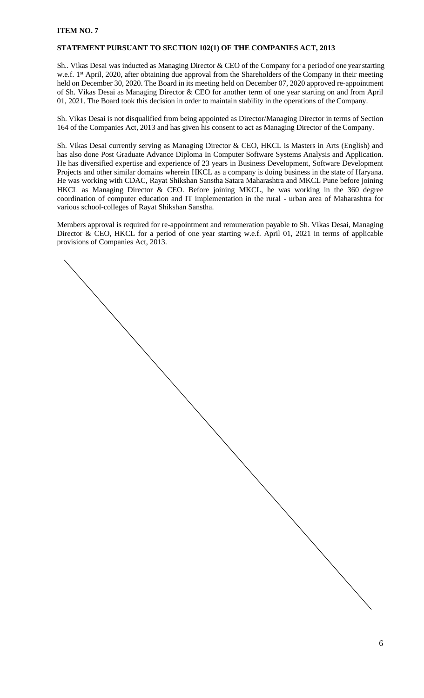## **ITEM NO. 7**

#### **STATEMENT PURSUANT TO SECTION 102(1) OF THE COMPANIES ACT, 2013**

Sh.. Vikas Desai was inducted as Managing Director & CEO of the Company for a period of one yearstarting w.e.f. 1<sup>st</sup> April, 2020, after obtaining due approval from the Shareholders of the Company in their meeting held on December 30, 2020. The Board in its meeting held on December 07, 2020 approved re-appointment of Sh. Vikas Desai as Managing Director & CEO for another term of one year starting on and from April 01, 2021. The Board took this decision in order to maintain stability in the operations of theCompany.

Sh. Vikas Desai is not disqualified from being appointed as Director/Managing Director in terms of Section 164 of the Companies Act, 2013 and has given his consent to act as Managing Director of the Company.

Sh. Vikas Desai currently serving as Managing Director & CEO, HKCL is Masters in Arts (English) and has also done Post Graduate Advance Diploma In Computer Software Systems Analysis and Application. He has diversified expertise and experience of 23 years in Business Development, Software Development Projects and other similar domains wherein HKCL as a company is doing business in the state of Haryana. He was working with CDAC, Rayat Shikshan Sanstha Satara Maharashtra and MKCL Pune before joining HKCL as Managing Director & CEO. Before joining MKCL, he was working in the 360 degree coordination of computer education and IT implementation in the rural - urban area of Maharashtra for various school-colleges of Rayat Shikshan Sanstha.

Members approval is required for re-appointment and remuneration payable to Sh. Vikas Desai, Managing Director & CEO, HKCL for a period of one year starting w.e.f. April 01, 2021 in terms of applicable provisions of Companies Act, 2013.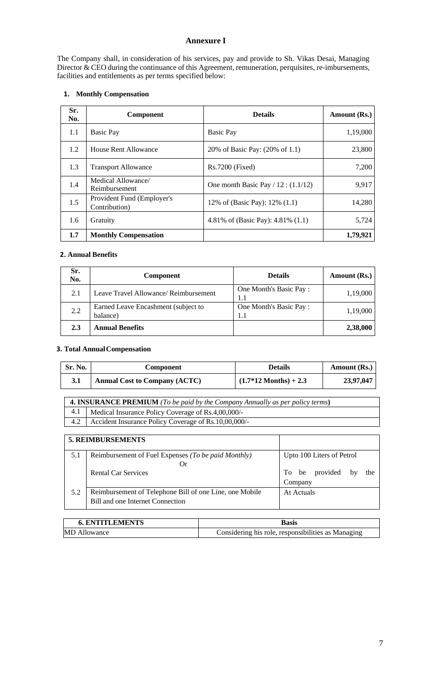## **Annexure I**

The Company shall, in consideration of his services, pay and provide to Sh. Vikas Desai, Managing Director & CEO during the continuance of this Agreement, remuneration, perquisites, re-imbursements, facilities and entitlements as per terms specified below:

## **1. Monthly Compensation**

| Sr.<br>No. | Component                                   | <b>Details</b>                        | <b>Amount (Rs.)</b> |
|------------|---------------------------------------------|---------------------------------------|---------------------|
| 1.1        | <b>Basic Pay</b>                            | <b>Basic Pay</b>                      | 1,19,000            |
| 1.2        | House Rent Allowance                        | 20% of Basic Pay: (20% of 1.1)        | 23,800              |
| 1.3        | <b>Transport Allowance</b>                  | $Rs.7200$ (Fixed)                     | 7,200               |
| 1.4        | Medical Allowance/<br>Reimbursement         | One month Basic Pay $/ 12 : (1.1/12)$ | 9,917               |
| 1.5        | Provident Fund (Employer's<br>Contribution) | 12% of (Basic Pay): 12% (1.1)         | 14,280              |
| 1.6        | Gratuity                                    | 4.81% of (Basic Pay): 4.81% (1.1)     | 5,724               |
| 1.7        | <b>Monthly Compensation</b>                 |                                       | 1,79,921            |

# **2. Annual Benefits**

| Sr.<br>No. | <b>Component</b>                                | <b>Details</b>                | Amount (Rs.) |
|------------|-------------------------------------------------|-------------------------------|--------------|
| 2.1        | Leave Travel Allowance/ Reimbursement           | One Month's Basic Pay:<br>1.1 | 1,19,000     |
| 2.2        | Earned Leave Encashment (subject to<br>balance) | One Month's Basic Pay:<br>1.1 | 1,19,000     |
| 2.3        | <b>Annual Benefits</b>                          |                               | 2,38,000     |

## **3. Total AnnualCompensation**

| Sr. No. | Component                            | <b>Details</b>                  | Amount (Rs.) |
|---------|--------------------------------------|---------------------------------|--------------|
| 3.1     | <b>Annual Cost to Company (ACTC)</b> | $(1.7*12 \text{ months}) + 2.3$ | 23,97,047    |

| <b>4. INSURANCE PREMIUM</b> (To be paid by the Company Annually as per policy terms) |                                                            |  |
|--------------------------------------------------------------------------------------|------------------------------------------------------------|--|
| 4.1                                                                                  | Medical Insurance Policy Coverage of Rs.4,00,000/-         |  |
|                                                                                      | 4.2   Accident Insurance Policy Coverage of Rs.10,00,000/- |  |

|     | <b>5. REIMBURSEMENTS</b>                                                                    |                                           |
|-----|---------------------------------------------------------------------------------------------|-------------------------------------------|
| 5.1 | Reimbursement of Fuel Expenses (To be paid Monthly)<br>Or)                                  | Upto 100 Liters of Petrol                 |
|     | <b>Rental Car Services</b>                                                                  | provided<br>To be<br>the<br>by<br>Company |
| 5.2 | Reimbursement of Telephone Bill of one Line, one Mobile<br>Bill and one Internet Connection | At Actuals                                |

| <b>6. ENTITLEMENTS</b> | Basis                                              |
|------------------------|----------------------------------------------------|
| <b>MD</b> Allowance    | Considering his role, responsibilities as Managing |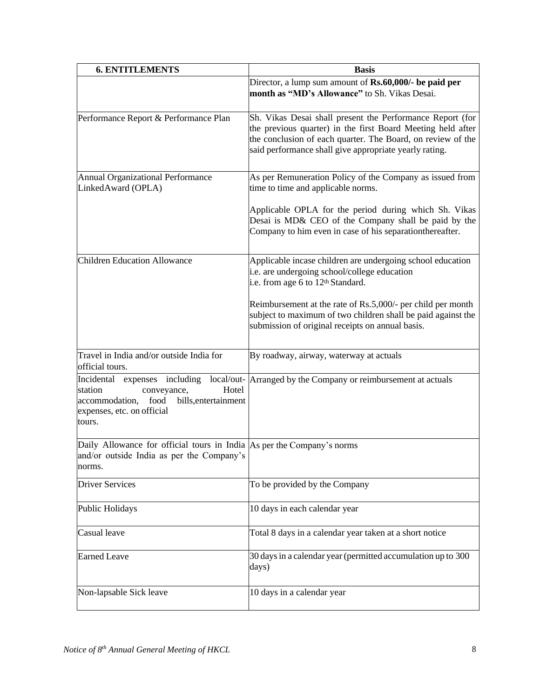| <b>6. ENTITLEMENTS</b>                                                                                                                                     | <b>Basis</b>                                                                                                                                                                                                                                      |
|------------------------------------------------------------------------------------------------------------------------------------------------------------|---------------------------------------------------------------------------------------------------------------------------------------------------------------------------------------------------------------------------------------------------|
|                                                                                                                                                            | Director, a lump sum amount of Rs.60,000/- be paid per<br>month as "MD's Allowance" to Sh. Vikas Desai.                                                                                                                                           |
| Performance Report & Performance Plan                                                                                                                      | Sh. Vikas Desai shall present the Performance Report (for<br>the previous quarter) in the first Board Meeting held after<br>the conclusion of each quarter. The Board, on review of the<br>said performance shall give appropriate yearly rating. |
| <b>Annual Organizational Performance</b><br>LinkedAward (OPLA)                                                                                             | As per Remuneration Policy of the Company as issued from<br>time to time and applicable norms.                                                                                                                                                    |
|                                                                                                                                                            | Applicable OPLA for the period during which Sh. Vikas<br>Desai is MD& CEO of the Company shall be paid by the<br>Company to him even in case of his separation thereafter.                                                                        |
| <b>Children Education Allowance</b>                                                                                                                        | Applicable incase children are undergoing school education<br>i.e. are undergoing school/college education<br>i.e. from age 6 to 12 <sup>th</sup> Standard.                                                                                       |
|                                                                                                                                                            | Reimbursement at the rate of Rs.5,000/- per child per month<br>subject to maximum of two children shall be paid against the<br>submission of original receipts on annual basis.                                                                   |
| Travel in India and/or outside India for<br>official tours.                                                                                                | By roadway, airway, waterway at actuals                                                                                                                                                                                                           |
| Incidental expenses including<br>station<br>Hotel<br>conveyance,<br>accommodation,<br>food<br>bills, entertainment<br>expenses, etc. on official<br>tours. | local/out- Arranged by the Company or reimbursement at actuals                                                                                                                                                                                    |
| Daily Allowance for official tours in India As per the Company's norms<br>and/or outside India as per the Company's<br>norms.                              |                                                                                                                                                                                                                                                   |
| <b>Driver Services</b>                                                                                                                                     | To be provided by the Company                                                                                                                                                                                                                     |
| <b>Public Holidays</b>                                                                                                                                     | 10 days in each calendar year                                                                                                                                                                                                                     |
| Casual leave                                                                                                                                               | Total 8 days in a calendar year taken at a short notice                                                                                                                                                                                           |
| <b>Earned Leave</b>                                                                                                                                        | 30 days in a calendar year (permitted accumulation up to 300<br>days)                                                                                                                                                                             |
| Non-lapsable Sick leave                                                                                                                                    | 10 days in a calendar year                                                                                                                                                                                                                        |